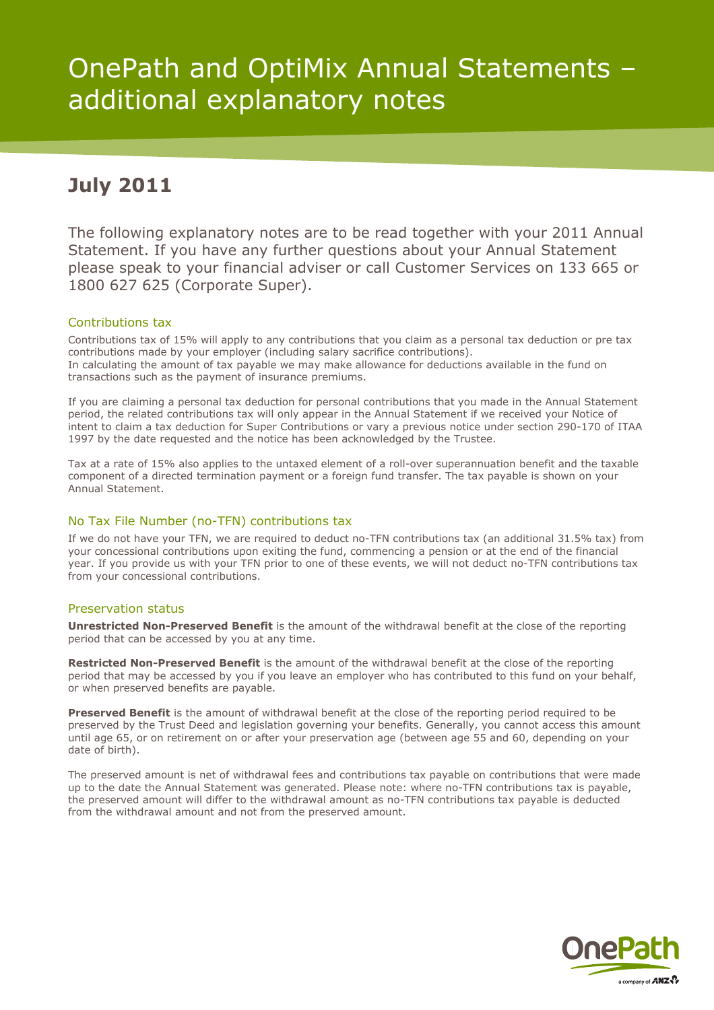# OnePath and OptiMix Annual Statements – additional explanatory notes

## **July 2011**

The following explanatory notes are to be read together with your 2011 Annual Statement. If you have any further questions about your Annual Statement please speak to your financial adviser or call Customer Services on 133 665 or 1800 627 625 (Corporate Super).

#### Contributions tax

Contributions tax of 15% will apply to any contributions that you claim as a personal tax deduction or pre tax contributions made by your employer (including salary sacrifice contributions). In calculating the amount of tax payable we may make allowance for deductions available in the fund on transactions such as the payment of insurance premiums.

If you are claiming a personal tax deduction for personal contributions that you made in the Annual Statement period, the related contributions tax will only appear in the Annual Statement if we received your Notice of intent to claim a tax deduction for Super Contributions or vary a previous notice under section 290-170 of ITAA 1997 by the date requested and the notice has been acknowledged by the Trustee.

Tax at a rate of 15% also applies to the untaxed element of a roll-over superannuation benefit and the taxable component of a directed termination payment or a foreign fund transfer. The tax payable is shown on your Annual Statement.

### No Tax File Number (no-TFN) contributions tax

If we do not have your TFN, we are required to deduct no-TFN contributions tax (an additional 31.5% tax) from your concessional contributions upon exiting the fund, commencing a pension or at the end of the financial year. If you provide us with your TFN prior to one of these events, we will not deduct no-TFN contributions tax from your concessional contributions.

#### Preservation status

**Unrestricted Non-Preserved Benefit** is the amount of the withdrawal benefit at the close of the reporting period that can be accessed by you at any time.

**Restricted Non-Preserved Benefit** is the amount of the withdrawal benefit at the close of the reporting period that may be accessed by you if you leave an employer who has contributed to this fund on your behalf, or when preserved benefits are payable.

**Preserved Benefit** is the amount of withdrawal benefit at the close of the reporting period required to be preserved by the Trust Deed and legislation governing your benefits. Generally, you cannot access this amount until age 65, or on retirement on or after your preservation age (between age 55 and 60, depending on your date of birth).

The preserved amount is net of withdrawal fees and contributions tax payable on contributions that were made up to the date the Annual Statement was generated. Please note: where no-TFN contributions tax is payable, the preserved amount will differ to the withdrawal amount as no-TFN contributions tax payable is deducted from the withdrawal amount and not from the preserved amount.

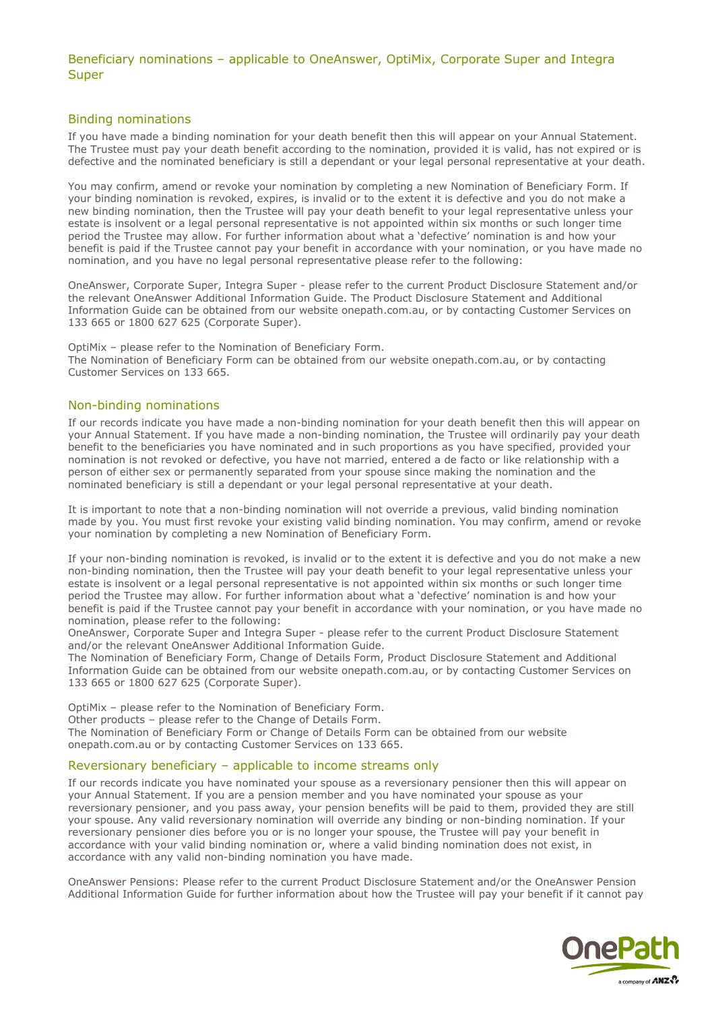#### Beneficiary nominations – applicable to OneAnswer, OptiMix, Corporate Super and Integra Super

#### Binding nominations

If you have made a binding nomination for your death benefit then this will appear on your Annual Statement. The Trustee must pay your death benefit according to the nomination, provided it is valid, has not expired or is defective and the nominated beneficiary is still a dependant or your legal personal representative at your death.

You may confirm, amend or revoke your nomination by completing a new Nomination of Beneficiary Form. If your binding nomination is revoked, expires, is invalid or to the extent it is defective and you do not make a new binding nomination, then the Trustee will pay your death benefit to your legal representative unless your estate is insolvent or a legal personal representative is not appointed within six months or such longer time period the Trustee may allow. For further information about what a 'defective' nomination is and how your benefit is paid if the Trustee cannot pay your benefit in accordance with your nomination, or you have made no nomination, and you have no legal personal representative please refer to the following:

OneAnswer, Corporate Super, Integra Super - please refer to the current Product Disclosure Statement and/or the relevant OneAnswer Additional Information Guide. The Product Disclosure Statement and Additional Information Guide can be obtained from our website onepath.com.au, or by contacting Customer Services on 133 665 or 1800 627 625 (Corporate Super).

OptiMix – please refer to the Nomination of Beneficiary Form. The Nomination of Beneficiary Form can be obtained from our website onepath.com.au, or by contacting Customer Services on 133 665.

#### Non-binding nominations

If our records indicate you have made a non-binding nomination for your death benefit then this will appear on your Annual Statement. If you have made a non-binding nomination, the Trustee will ordinarily pay your death benefit to the beneficiaries you have nominated and in such proportions as you have specified, provided your nomination is not revoked or defective, you have not married, entered a de facto or like relationship with a person of either sex or permanently separated from your spouse since making the nomination and the nominated beneficiary is still a dependant or your legal personal representative at your death.

It is important to note that a non-binding nomination will not override a previous, valid binding nomination made by you. You must first revoke your existing valid binding nomination. You may confirm, amend or revoke your nomination by completing a new Nomination of Beneficiary Form.

If your non-binding nomination is revoked, is invalid or to the extent it is defective and you do not make a new non-binding nomination, then the Trustee will pay your death benefit to your legal representative unless your estate is insolvent or a legal personal representative is not appointed within six months or such longer time period the Trustee may allow. For further information about what a 'defective' nomination is and how your benefit is paid if the Trustee cannot pay your benefit in accordance with your nomination, or you have made no nomination, please refer to the following:

OneAnswer, Corporate Super and Integra Super - please refer to the current Product Disclosure Statement and/or the relevant OneAnswer Additional Information Guide.

The Nomination of Beneficiary Form, Change of Details Form, Product Disclosure Statement and Additional Information Guide can be obtained from our website onepath.com.au, or by contacting Customer Services on 133 665 or 1800 627 625 (Corporate Super).

OptiMix – please refer to the Nomination of Beneficiary Form.

Other products – please refer to the Change of Details Form.

The Nomination of Beneficiary Form or Change of Details Form can be obtained from our website onepath.com.au or by contacting Customer Services on 133 665.

#### Reversionary beneficiary – applicable to income streams only

If our records indicate you have nominated your spouse as a reversionary pensioner then this will appear on your Annual Statement. If you are a pension member and you have nominated your spouse as your reversionary pensioner, and you pass away, your pension benefits will be paid to them, provided they are still your spouse. Any valid reversionary nomination will override any binding or non-binding nomination. If your reversionary pensioner dies before you or is no longer your spouse, the Trustee will pay your benefit in accordance with your valid binding nomination or, where a valid binding nomination does not exist, in accordance with any valid non-binding nomination you have made.

OneAnswer Pensions: Please refer to the current Product Disclosure Statement and/or the OneAnswer Pension Additional Information Guide for further information about how the Trustee will pay your benefit if it cannot pay